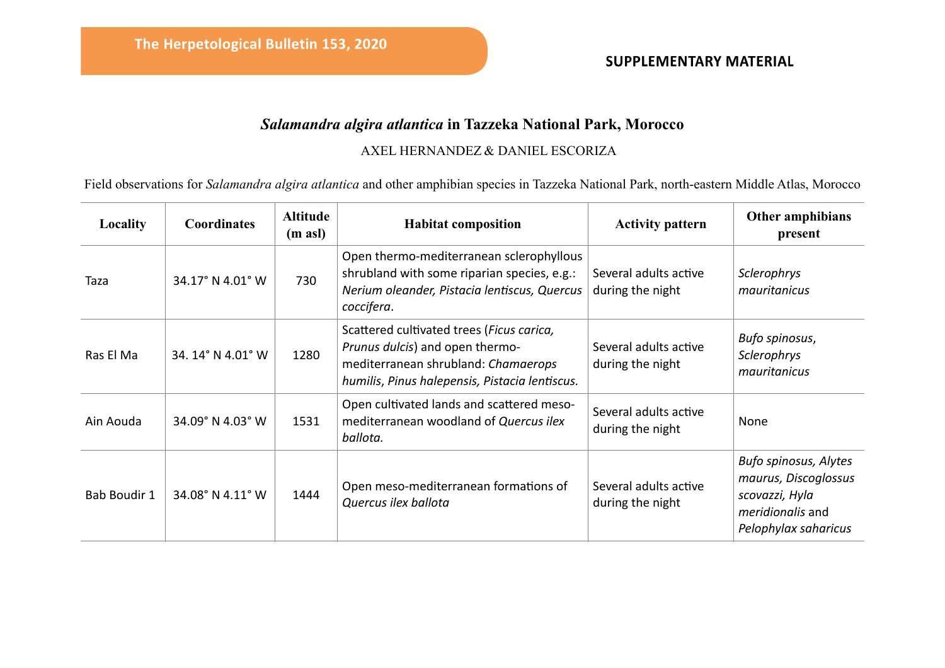## **SUPPLEMENTARY MATERIAL**

## *Salamandra algira atlantica* **in Tazzeka National Park, Morocco**

## AXEL HERNANDEZ & DANIEL ESCORIZA

Field observations for *Salamandra algira atlantica* and other amphibian species in Tazzeka National Park, north-eastern Middle Atlas, Morocco

| Locality     | <b>Coordinates</b> | <b>Altitude</b><br>$(m \text{ as } l)$ | <b>Habitat composition</b>                                                                                                                                            | <b>Activity pattern</b>                   | Other amphibians<br>present                                                                                        |
|--------------|--------------------|----------------------------------------|-----------------------------------------------------------------------------------------------------------------------------------------------------------------------|-------------------------------------------|--------------------------------------------------------------------------------------------------------------------|
| Taza         | 34.17° N 4.01° W   | 730                                    | Open thermo-mediterranean sclerophyllous<br>shrubland with some riparian species, e.g.:<br>Nerium oleander, Pistacia lentiscus, Quercus<br>coccifera.                 | Several adults active<br>during the night | Sclerophrys<br>mauritanicus                                                                                        |
| Ras El Ma    | 34.14° N 4.01° W   | 1280                                   | Scattered cultivated trees (Ficus carica,<br>Prunus dulcis) and open thermo-<br>mediterranean shrubland: Chamaerops<br>humilis, Pinus halepensis, Pistacia lentiscus. | Several adults active<br>during the night | Bufo spinosus,<br>Sclerophrys<br>mauritanicus                                                                      |
| Ain Aouda    | 34.09° N 4.03° W   | 1531                                   | Open cultivated lands and scattered meso-<br>mediterranean woodland of Quercus ilex<br>ballota.                                                                       | Several adults active<br>during the night | None                                                                                                               |
| Bab Boudir 1 | 34.08° N 4.11° W   | 1444                                   | Open meso-mediterranean formations of<br>Quercus ilex ballota                                                                                                         | Several adults active<br>during the night | Bufo spinosus, Alytes<br>maurus, Discoglossus<br>scovazzi, Hyla<br><i>meridionalis</i> and<br>Pelophylax saharicus |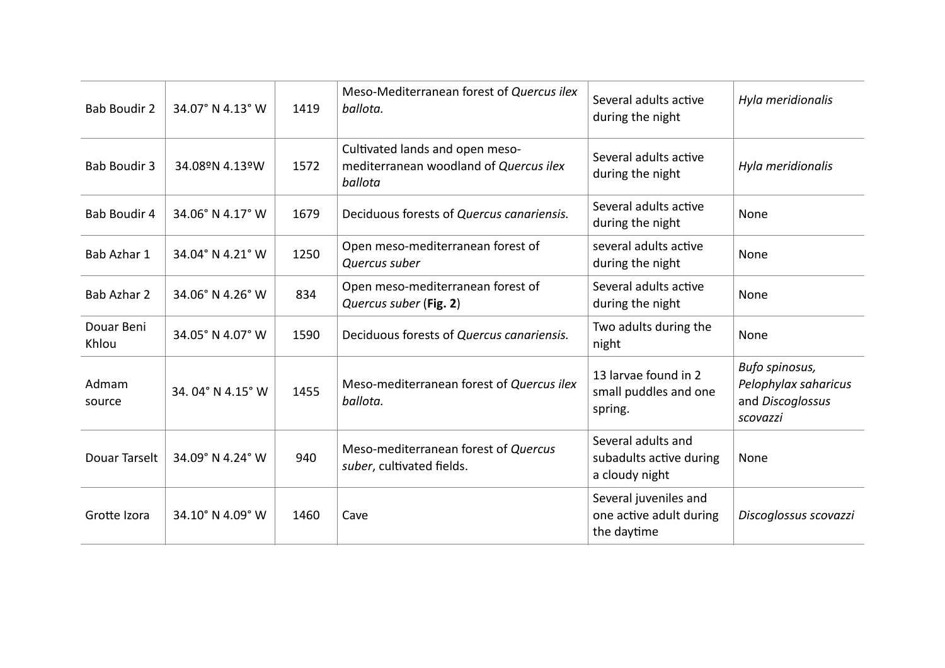| <b>Bab Boudir 2</b> | 34.07° N 4.13° W | 1419 | Meso-Mediterranean forest of Quercus ilex<br>ballota.                                | Several adults active<br>during the night                       | Hyla meridionalis                                                      |
|---------------------|------------------|------|--------------------------------------------------------------------------------------|-----------------------------------------------------------------|------------------------------------------------------------------------|
| <b>Bab Boudir 3</b> | 34.08ºN 4.13ºW   | 1572 | Cultivated lands and open meso-<br>mediterranean woodland of Quercus ilex<br>ballota | Several adults active<br>during the night                       | Hyla meridionalis                                                      |
| Bab Boudir 4        | 34.06° N 4.17° W | 1679 | Deciduous forests of Quercus canariensis.                                            | Several adults active<br>during the night                       | None                                                                   |
| Bab Azhar 1         | 34.04° N 4.21° W | 1250 | Open meso-mediterranean forest of<br>Quercus suber                                   | several adults active<br>during the night                       | None                                                                   |
| Bab Azhar 2         | 34.06° N 4.26° W | 834  | Open meso-mediterranean forest of<br>Quercus suber (Fig. 2)                          | Several adults active<br>during the night                       | None                                                                   |
| Douar Beni<br>Khlou | 34.05° N 4.07° W | 1590 | Deciduous forests of Quercus canariensis.                                            | Two adults during the<br>night                                  | None                                                                   |
| Admam<br>source     | 34.04° N 4.15° W | 1455 | Meso-mediterranean forest of Quercus ilex<br>ballota.                                | 13 larvae found in 2<br>small puddles and one<br>spring.        | Bufo spinosus,<br>Pelophylax saharicus<br>and Discoglossus<br>scovazzi |
| Douar Tarselt       | 34.09° N 4.24° W | 940  | Meso-mediterranean forest of Quercus<br>suber, cultivated fields.                    | Several adults and<br>subadults active during<br>a cloudy night | None                                                                   |
| Grotte Izora        | 34.10° N 4.09° W | 1460 | Cave                                                                                 | Several juveniles and<br>one active adult during<br>the daytime | Discoglossus scovazzi                                                  |